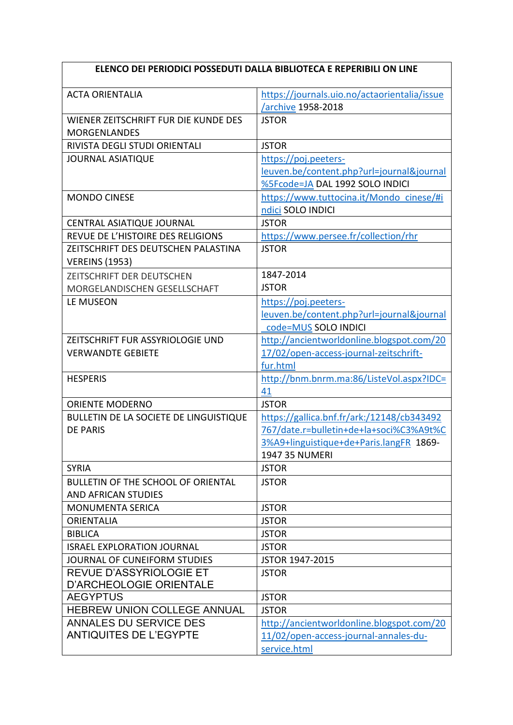## **ELENCO DEI PERIODICI POSSEDUTI DALLA BIBLIOTECA E REPERIBILI ON LINE**

| <b>ACTA ORIENTALIA</b>                                       | https://journals.uio.no/actaorientalia/issue |
|--------------------------------------------------------------|----------------------------------------------|
|                                                              | archive 1958-2018                            |
| WIENER ZEITSCHRIFT FUR DIE KUNDE DES<br><b>MORGENLANDES</b>  | <b>JSTOR</b>                                 |
| RIVISTA DEGLI STUDI ORIENTALI                                | <b>JSTOR</b>                                 |
| <b>JOURNAL ASIATIQUE</b>                                     | https://poj.peeters-                         |
|                                                              | leuven.be/content.php?url=journal&journal    |
|                                                              | %5Fcode=JA DAL 1992 SOLO INDICI              |
| <b>MONDO CINESE</b>                                          | https://www.tuttocina.it/Mondo cinese/#i     |
|                                                              | ndici SOLO INDICI                            |
| CENTRAL ASIATIQUE JOURNAL                                    | <b>JSTOR</b>                                 |
| REVUE DE L'HISTOIRE DES RELIGIONS                            | https://www.persee.fr/collection/rhr         |
| ZEITSCHRIFT DES DEUTSCHEN PALASTINA<br><b>VEREINS (1953)</b> | <b>JSTOR</b>                                 |
| ZEITSCHRIFT DER DEUTSCHEN                                    | 1847-2014                                    |
| MORGELANDISCHEN GESELLSCHAFT                                 | <b>JSTOR</b>                                 |
| LE MUSEON                                                    | https://poj.peeters-                         |
|                                                              | leuven.be/content.php?url=journal&journal    |
|                                                              | code=MUS SOLO INDICI                         |
| ZEITSCHRIFT FUR ASSYRIOLOGIE UND                             | http://ancientworldonline.blogspot.com/20    |
| <b>VERWANDTE GEBIETE</b>                                     | 17/02/open-access-journal-zeitschrift-       |
|                                                              | fur.html                                     |
| <b>HESPERIS</b>                                              | http://bnm.bnrm.ma:86/ListeVol.aspx?IDC=     |
|                                                              | 41                                           |
| <b>ORIENTE MODERNO</b>                                       | <b>JSTOR</b>                                 |
|                                                              |                                              |
| <b>BULLETIN DE LA SOCIETE DE LINGUISTIQUE</b>                | https://gallica.bnf.fr/ark:/12148/cb343492   |
| <b>DE PARIS</b>                                              | 767/date.r=bulletin+de+la+soci%C3%A9t%C      |
|                                                              | 3%A9+linguistique+de+Paris.langFR 1869-      |
|                                                              | <b>1947 35 NUMERI</b>                        |
| <b>SYRIA</b>                                                 | JSTOR                                        |
| BULLETIN OF THE SCHOOL OF ORIENTAL                           | <b>JSTOR</b>                                 |
| <b>AND AFRICAN STUDIES</b>                                   |                                              |
| <b>MONUMENTA SERICA</b>                                      | <b>JSTOR</b>                                 |
| <b>ORIENTALIA</b>                                            | <b>JSTOR</b>                                 |
| <b>BIBLICA</b>                                               | <b>JSTOR</b>                                 |
| <b>ISRAEL EXPLORATION JOURNAL</b>                            | <b>JSTOR</b>                                 |
| JOURNAL OF CUNEIFORM STUDIES                                 | JSTOR 1947-2015                              |
| REVUE D'ASSYRIOLOGIE ET<br>D'ARCHEOLOGIE ORIENTALE           | <b>JSTOR</b>                                 |
| <b>AEGYPTUS</b>                                              | <b>JSTOR</b>                                 |
| HEBREW UNION COLLEGE ANNUAL                                  | <b>JSTOR</b>                                 |
| <b>ANNALES DU SERVICE DES</b>                                | http://ancientworldonline.blogspot.com/20    |
| <b>ANTIQUITES DE L'EGYPTE</b>                                | 11/02/open-access-journal-annales-du-        |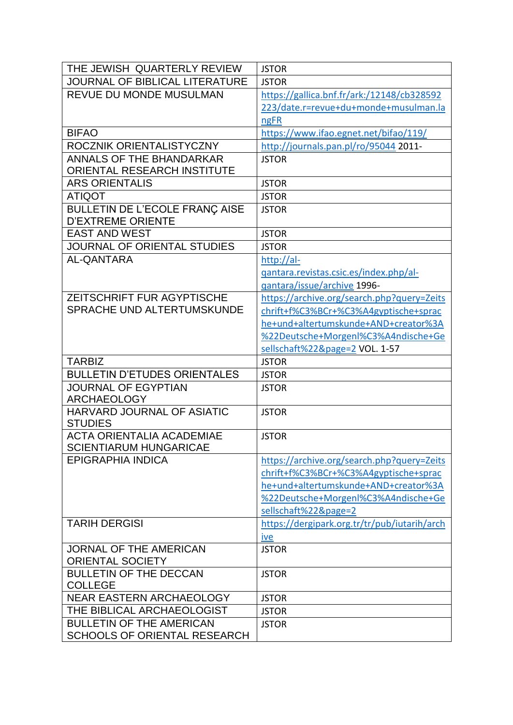| THE JEWISH QUARTERLY REVIEW                                       | <b>JSTOR</b>                                 |
|-------------------------------------------------------------------|----------------------------------------------|
| JOURNAL OF BIBLICAL LITERATURE                                    | <b>JSTOR</b>                                 |
| REVUE DU MONDE MUSULMAN                                           | https://gallica.bnf.fr/ark:/12148/cb328592   |
|                                                                   | 223/date.r=revue+du+monde+musulman.la        |
|                                                                   | ngFR                                         |
| <b>BIFAO</b>                                                      | https://www.ifao.egnet.net/bifao/119/        |
| ROCZNIK ORIENTALISTYCZNY                                          | http://journals.pan.pl/ro/95044 2011-        |
| <b>ANNALS OF THE BHANDARKAR</b>                                   | <b>JSTOR</b>                                 |
| ORIENTAL RESEARCH INSTITUTE                                       |                                              |
| <b>ARS ORIENTALIS</b>                                             | <b>JSTOR</b>                                 |
| <b>ATIQOT</b>                                                     | <b>JSTOR</b>                                 |
| <b>BULLETIN DE L'ECOLE FRANÇ AISE</b>                             | <b>JSTOR</b>                                 |
| <b>D'EXTREME ORIENTE</b>                                          |                                              |
| <b>EAST AND WEST</b>                                              | <b>JSTOR</b>                                 |
| JOURNAL OF ORIENTAL STUDIES                                       | <b>JSTOR</b>                                 |
| <b>AL-QANTARA</b>                                                 | http://al-                                   |
|                                                                   | gantara.revistas.csic.es/index.php/al-       |
|                                                                   | qantara/issue/archive 1996-                  |
| <b>ZEITSCHRIFT FUR AGYPTISCHE</b>                                 | https://archive.org/search.php?query=Zeits   |
| SPRACHE UND ALTERTUMSKUNDE                                        | chrift+f%C3%BCr+%C3%A4gyptische+sprac        |
|                                                                   | he+und+altertumskunde+AND+creator%3A         |
|                                                                   | %22Deutsche+Morgenl%C3%A4ndische+Ge          |
|                                                                   | sellschaft%22&page=2 VOL. 1-57               |
| <b>TARBIZ</b>                                                     | <b>JSTOR</b>                                 |
| <b>BULLETIN D'ETUDES ORIENTALES</b>                               | <b>JSTOR</b>                                 |
| <b>JOURNAL OF EGYPTIAN</b><br><b>ARCHAEOLOGY</b>                  | <b>JSTOR</b>                                 |
| HARVARD JOURNAL OF ASIATIC<br><b>STUDIES</b>                      | <b>JSTOR</b>                                 |
| <b>ACTA ORIENTALIA ACADEMIAE</b><br><b>SCIENTIARUM HUNGARICAE</b> | <b>JSTOR</b>                                 |
| <b>EPIGRAPHIA INDICA</b>                                          | https://archive.org/search.php?query=Zeits   |
|                                                                   | chrift+f%C3%BCr+%C3%A4gyptische+sprac        |
|                                                                   | he+und+altertumskunde+AND+creator%3A         |
|                                                                   | %22Deutsche+Morgenl%C3%A4ndische+Ge          |
|                                                                   | sellschaft%22&page=2                         |
| <b>TARIH DERGISI</b>                                              | https://dergipark.org.tr/tr/pub/iutarih/arch |
|                                                                   | ive                                          |
| <b>JORNAL OF THE AMERICAN</b>                                     | <b>JSTOR</b>                                 |
| <b>ORIENTAL SOCIETY</b>                                           |                                              |
| <b>BULLETIN OF THE DECCAN</b>                                     | <b>JSTOR</b>                                 |
| <b>COLLEGE</b>                                                    |                                              |
|                                                                   |                                              |
| <b>NEAR EASTERN ARCHAEOLOGY</b>                                   | <b>JSTOR</b>                                 |
| THE BIBLICAL ARCHAEOLOGIST                                        | <b>JSTOR</b>                                 |
| <b>BULLETIN OF THE AMERICAN</b>                                   | <b>JSTOR</b>                                 |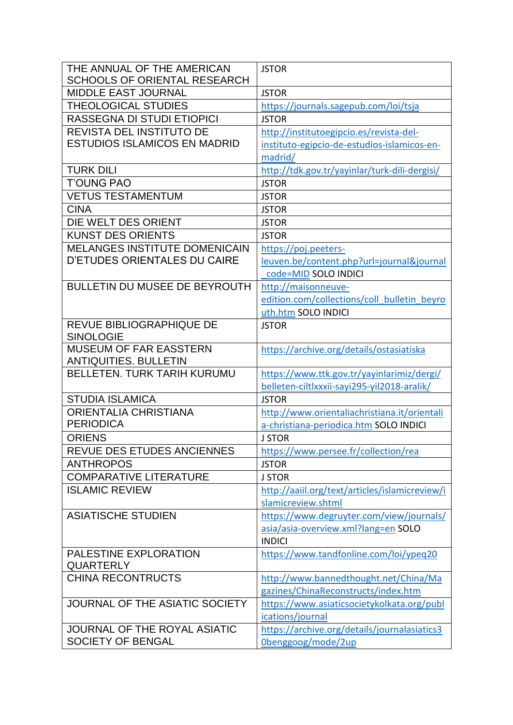| THE ANNUAL OF THE AMERICAN           | <b>JSTOR</b>                                   |
|--------------------------------------|------------------------------------------------|
| <b>SCHOOLS OF ORIENTAL RESEARCH</b>  |                                                |
| <b>MIDDLE EAST JOURNAL</b>           | <b>JSTOR</b>                                   |
| <b>THEOLOGICAL STUDIES</b>           | https://journals.sagepub.com/loi/tsja          |
| RASSEGNA DI STUDI ETIOPICI           | <b>JSTOR</b>                                   |
| <b>REVISTA DEL INSTITUTO DE</b>      | http://institutoegipcio.es/revista-del-        |
| <b>ESTUDIOS ISLAMICOS EN MADRID</b>  | instituto-egipcio-de-estudios-islamicos-en-    |
|                                      | madrid/                                        |
| <b>TURK DILI</b>                     | http://tdk.gov.tr/yayinlar/turk-dili-dergisi/  |
| <b>T'OUNG PAO</b>                    | <b>JSTOR</b>                                   |
| <b>VETUS TESTAMENTUM</b>             | <b>JSTOR</b>                                   |
| <b>CINA</b>                          | <b>JSTOR</b>                                   |
| DIE WELT DES ORIENT                  | <b>JSTOR</b>                                   |
| <b>KUNST DES ORIENTS</b>             | <b>JSTOR</b>                                   |
| <b>MELANGES INSTITUTE DOMENICAIN</b> | https://poj.peeters-                           |
| <b>D'ETUDES ORIENTALES DU CAIRE</b>  | leuven.be/content.php?url=journal&journal      |
|                                      | code=MID SOLO INDICI                           |
| <b>BULLETIN DU MUSEE DE BEYROUTH</b> | http://maisonneuve-                            |
|                                      | edition.com/collections/coll bulletin beyro    |
|                                      | uth.htm SOLO INDICI                            |
| REVUE BIBLIOGRAPHIQUE DE             | <b>JSTOR</b>                                   |
| <b>SINOLOGIE</b>                     |                                                |
| <b>MUSEUM OF FAR EASSTERN</b>        | https://archive.org/details/ostasiatiska       |
| <b>ANTIQUITIES. BULLETIN</b>         |                                                |
| <b>BELLETEN, TURK TARIH KURUMU</b>   | https://www.ttk.gov.tr/yayinlarimiz/dergi/     |
|                                      | belleten-ciltlxxxii-sayi295-yil2018-aralik/    |
| <b>STUDIA ISLAMICA</b>               | <b>JSTOR</b>                                   |
| <b>ORIENTALIA CHRISTIANA</b>         | http://www.orientaliachristiana.it/orientali   |
| <b>PERIODICA</b>                     | a-christiana-periodica.htm SOLO INDICI         |
| <b>ORIENS</b>                        | <b>J STOR</b>                                  |
| REVUE DES ETUDES ANCIENNES           | https://www.persee.fr/collection/rea           |
| <b>ANTHROPOS</b>                     | <b>JSTOR</b>                                   |
| <b>COMPARATIVE LITERATURE</b>        | <b>J STOR</b>                                  |
| <b>ISLAMIC REVIEW</b>                | http://aaiil.org/text/articles/islamicreview/i |
|                                      | slamicreview.shtml                             |
| <b>ASIATISCHE STUDIEN</b>            | https://www.degruyter.com/view/journals/       |
|                                      | asia/asia-overview.xml?lang=en SOLO            |
|                                      | <b>INDICI</b>                                  |
| <b>PALESTINE EXPLORATION</b>         | https://www.tandfonline.com/loi/ypeq20         |
| <b>QUARTERLY</b>                     |                                                |
| <b>CHINA RECONTRUCTS</b>             | http://www.bannedthought.net/China/Ma          |
|                                      | gazines/ChinaReconstructs/index.htm            |
| JOURNAL OF THE ASIATIC SOCIETY       | https://www.asiaticsocietykolkata.org/publ     |
|                                      | ications/journal                               |
| JOURNAL OF THE ROYAL ASIATIC         | https://archive.org/details/journalasiatics3   |
| SOCIETY OF BENGAL                    | Obenggoog/mode/2up                             |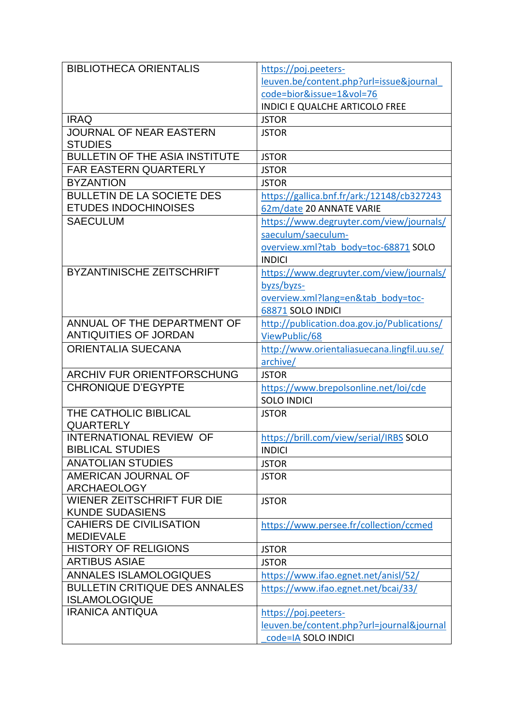| <b>BIBLIOTHECA ORIENTALIS</b>                                | https://poj.peeters-                                        |
|--------------------------------------------------------------|-------------------------------------------------------------|
|                                                              | leuven.be/content.php?url=issue&journal                     |
|                                                              | code=bior&issue=1&vol=76                                    |
|                                                              | <b>INDICI E QUALCHE ARTICOLO FREE</b>                       |
| <b>IRAQ</b>                                                  | <b>JSTOR</b>                                                |
| JOURNAL OF NEAR EASTERN<br><b>STUDIES</b>                    | <b>JSTOR</b>                                                |
| <b>BULLETIN OF THE ASIA INSTITUTE</b>                        | <b>JSTOR</b>                                                |
| <b>FAR EASTERN QUARTERLY</b>                                 | <b>JSTOR</b>                                                |
| <b>BYZANTION</b>                                             | <b>JSTOR</b>                                                |
| <b>BULLETIN DE LA SOCIETE DES</b>                            | https://gallica.bnf.fr/ark:/12148/cb327243                  |
| <b>ETUDES INDOCHINOISES</b>                                  | 62m/date 20 ANNATE VARIE                                    |
| <b>SAECULUM</b>                                              | https://www.degruyter.com/view/journals/                    |
|                                                              | saeculum/saeculum-                                          |
|                                                              | overview.xml?tab_body=toc-68871 SOLO                        |
|                                                              | <b>INDICI</b>                                               |
| <b>BYZANTINISCHE ZEITSCHRIFT</b>                             | https://www.degruyter.com/view/journals/                    |
|                                                              | byzs/byzs-                                                  |
|                                                              | overview.xml?lang=en&tab_body=toc-                          |
|                                                              | 68871 SOLO INDICI                                           |
| ANNUAL OF THE DEPARTMENT OF                                  | http://publication.doa.gov.jo/Publications/                 |
| <b>ANTIQUITIES OF JORDAN</b>                                 | ViewPublic/68                                               |
| ORIENTALIA SUECANA                                           | http://www.orientaliasuecana.lingfil.uu.se/                 |
|                                                              | archive/                                                    |
| <b>ARCHIV FUR ORIENTFORSCHUNG</b>                            | <b>JSTOR</b>                                                |
| <b>CHRONIQUE D'EGYPTE</b>                                    | https://www.brepolsonline.net/loi/cde<br><b>SOLO INDICI</b> |
| THE CATHOLIC BIBLICAL                                        | <b>JSTOR</b>                                                |
| <b>QUARTERLY</b>                                             |                                                             |
| <b>INTERNATIONAL REVIEW OF</b>                               | https://brill.com/view/serial/IRBS SOLO                     |
| <b>BIBLICAL STUDIES</b>                                      | <b>INDICI</b>                                               |
| <b>ANATOLIAN STUDIES</b>                                     | <b>JSTOR</b>                                                |
| AMERICAN JOURNAL OF                                          | <b>JSTOR</b>                                                |
| <b>ARCHAEOLOGY</b>                                           |                                                             |
| WIENER ZEITSCHRIFT FUR DIE                                   | <b>JSTOR</b>                                                |
| <b>KUNDE SUDASIENS</b>                                       |                                                             |
| <b>CAHIERS DE CIVILISATION</b>                               | https://www.persee.fr/collection/ccmed                      |
| <b>MEDIEVALE</b>                                             |                                                             |
| <b>HISTORY OF RELIGIONS</b>                                  | <b>JSTOR</b>                                                |
| <b>ARTIBUS ASIAE</b>                                         | <b>JSTOR</b>                                                |
| <b>ANNALES ISLAMOLOGIQUES</b>                                | https://www.ifao.egnet.net/anisl/52/                        |
| <b>BULLETIN CRITIQUE DES ANNALES</b><br><b>ISLAMOLOGIQUE</b> | https://www.ifao.egnet.net/bcai/33/                         |
| <b>IRANICA ANTIQUA</b>                                       | https://poj.peeters-                                        |
|                                                              | leuven.be/content.php?url=journal&journal                   |
|                                                              | code=IA SOLO INDICI                                         |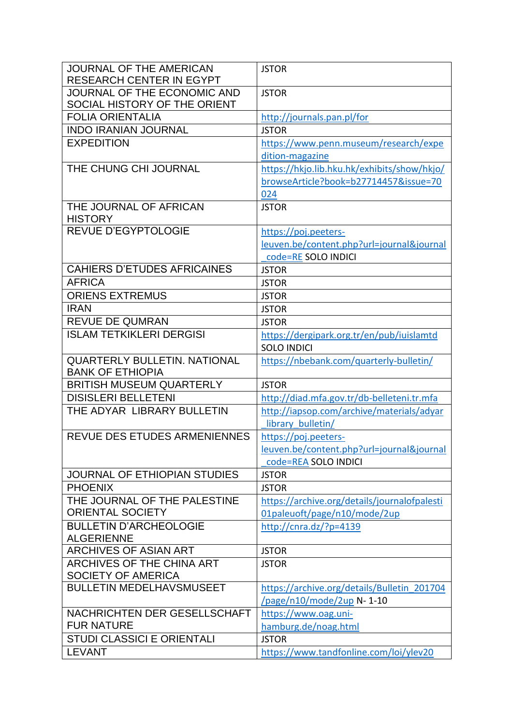| JOURNAL OF THE ECONOMIC AND<br><b>JSTOR</b><br>SOCIAL HISTORY OF THE ORIENT<br><b>FOLIA ORIENTALIA</b><br>http://journals.pan.pl/for<br><b>INDO IRANIAN JOURNAL</b><br><b>JSTOR</b><br><b>EXPEDITION</b><br>https://www.penn.museum/research/expe<br>dition-magazine<br>THE CHUNG CHI JOURNAL<br>https://hkjo.lib.hku.hk/exhibits/show/hkjo/<br>browseArticle?book=b27714457&issue=70<br>024<br>THE JOURNAL OF AFRICAN<br><b>JSTOR</b><br><b>HISTORY</b><br><b>REVUE D'EGYPTOLOGIE</b><br>https://poj.peeters-<br>leuven.be/content.php?url=journal&journal<br>code=RE SOLO INDICI<br><b>CAHIERS D'ETUDES AFRICAINES</b><br><b>JSTOR</b><br><b>AFRICA</b><br><b>JSTOR</b><br><b>ORIENS EXTREMUS</b><br><b>JSTOR</b><br><b>IRAN</b><br><b>JSTOR</b><br><b>REVUE DE QUMRAN</b><br><b>JSTOR</b><br><b>ISLAM TETKIKLERI DERGISI</b><br>https://dergipark.org.tr/en/pub/iuislamtd<br><b>SOLO INDICI</b><br><b>QUARTERLY BULLETIN. NATIONAL</b><br>https://nbebank.com/quarterly-bulletin/<br><b>BANK OF ETHIOPIA</b><br><b>BRITISH MUSEUM QUARTERLY</b><br><b>JSTOR</b><br><b>DISISLERI BELLETENI</b><br>http://diad.mfa.gov.tr/db-belleteni.tr.mfa<br>THE ADYAR LIBRARY BULLETIN<br>http://iapsop.com/archive/materials/adyar<br>library bulletin/<br>REVUE DES ETUDES ARMENIENNES<br>https://poj.peeters-<br>leuven.be/content.php?url=journal&journal<br>code=REA SOLO INDICI<br><b>JOURNAL OF ETHIOPIAN STUDIES</b><br><b>JSTOR</b><br><b>PHOENIX</b><br><b>JSTOR</b><br>THE JOURNAL OF THE PALESTINE<br>https://archive.org/details/journalofpalesti<br><b>ORIENTAL SOCIETY</b><br>01paleuoft/page/n10/mode/2up<br><b>BULLETIN D'ARCHEOLOGIE</b><br>http://cnra.dz/?p=4139<br><b>ALGERIENNE</b><br><b>ARCHIVES OF ASIAN ART</b><br><b>JSTOR</b><br>ARCHIVES OF THE CHINA ART<br><b>JSTOR</b><br><b>SOCIETY OF AMERICA</b><br><b>BULLETIN MEDELHAVSMUSEET</b><br>https://archive.org/details/Bulletin 201704<br>/page/n10/mode/2up N-1-10<br>NACHRICHTEN DER GESELLSCHAFT<br>https://www.oag.uni-<br><b>FUR NATURE</b><br>hamburg.de/noag.html<br><b>STUDI CLASSICI E ORIENTALI</b><br><b>JSTOR</b><br><b>LEVANT</b> | JOURNAL OF THE AMERICAN         | <b>JSTOR</b>                           |
|---------------------------------------------------------------------------------------------------------------------------------------------------------------------------------------------------------------------------------------------------------------------------------------------------------------------------------------------------------------------------------------------------------------------------------------------------------------------------------------------------------------------------------------------------------------------------------------------------------------------------------------------------------------------------------------------------------------------------------------------------------------------------------------------------------------------------------------------------------------------------------------------------------------------------------------------------------------------------------------------------------------------------------------------------------------------------------------------------------------------------------------------------------------------------------------------------------------------------------------------------------------------------------------------------------------------------------------------------------------------------------------------------------------------------------------------------------------------------------------------------------------------------------------------------------------------------------------------------------------------------------------------------------------------------------------------------------------------------------------------------------------------------------------------------------------------------------------------------------------------------------------------------------------------------------------------------------------------------------------------------------------------------------------------------------------------------------------------------------------------|---------------------------------|----------------------------------------|
|                                                                                                                                                                                                                                                                                                                                                                                                                                                                                                                                                                                                                                                                                                                                                                                                                                                                                                                                                                                                                                                                                                                                                                                                                                                                                                                                                                                                                                                                                                                                                                                                                                                                                                                                                                                                                                                                                                                                                                                                                                                                                                                     | <b>RESEARCH CENTER IN EGYPT</b> |                                        |
|                                                                                                                                                                                                                                                                                                                                                                                                                                                                                                                                                                                                                                                                                                                                                                                                                                                                                                                                                                                                                                                                                                                                                                                                                                                                                                                                                                                                                                                                                                                                                                                                                                                                                                                                                                                                                                                                                                                                                                                                                                                                                                                     |                                 |                                        |
|                                                                                                                                                                                                                                                                                                                                                                                                                                                                                                                                                                                                                                                                                                                                                                                                                                                                                                                                                                                                                                                                                                                                                                                                                                                                                                                                                                                                                                                                                                                                                                                                                                                                                                                                                                                                                                                                                                                                                                                                                                                                                                                     |                                 |                                        |
|                                                                                                                                                                                                                                                                                                                                                                                                                                                                                                                                                                                                                                                                                                                                                                                                                                                                                                                                                                                                                                                                                                                                                                                                                                                                                                                                                                                                                                                                                                                                                                                                                                                                                                                                                                                                                                                                                                                                                                                                                                                                                                                     |                                 |                                        |
|                                                                                                                                                                                                                                                                                                                                                                                                                                                                                                                                                                                                                                                                                                                                                                                                                                                                                                                                                                                                                                                                                                                                                                                                                                                                                                                                                                                                                                                                                                                                                                                                                                                                                                                                                                                                                                                                                                                                                                                                                                                                                                                     |                                 |                                        |
|                                                                                                                                                                                                                                                                                                                                                                                                                                                                                                                                                                                                                                                                                                                                                                                                                                                                                                                                                                                                                                                                                                                                                                                                                                                                                                                                                                                                                                                                                                                                                                                                                                                                                                                                                                                                                                                                                                                                                                                                                                                                                                                     |                                 |                                        |
|                                                                                                                                                                                                                                                                                                                                                                                                                                                                                                                                                                                                                                                                                                                                                                                                                                                                                                                                                                                                                                                                                                                                                                                                                                                                                                                                                                                                                                                                                                                                                                                                                                                                                                                                                                                                                                                                                                                                                                                                                                                                                                                     |                                 |                                        |
|                                                                                                                                                                                                                                                                                                                                                                                                                                                                                                                                                                                                                                                                                                                                                                                                                                                                                                                                                                                                                                                                                                                                                                                                                                                                                                                                                                                                                                                                                                                                                                                                                                                                                                                                                                                                                                                                                                                                                                                                                                                                                                                     |                                 |                                        |
|                                                                                                                                                                                                                                                                                                                                                                                                                                                                                                                                                                                                                                                                                                                                                                                                                                                                                                                                                                                                                                                                                                                                                                                                                                                                                                                                                                                                                                                                                                                                                                                                                                                                                                                                                                                                                                                                                                                                                                                                                                                                                                                     |                                 |                                        |
|                                                                                                                                                                                                                                                                                                                                                                                                                                                                                                                                                                                                                                                                                                                                                                                                                                                                                                                                                                                                                                                                                                                                                                                                                                                                                                                                                                                                                                                                                                                                                                                                                                                                                                                                                                                                                                                                                                                                                                                                                                                                                                                     |                                 |                                        |
|                                                                                                                                                                                                                                                                                                                                                                                                                                                                                                                                                                                                                                                                                                                                                                                                                                                                                                                                                                                                                                                                                                                                                                                                                                                                                                                                                                                                                                                                                                                                                                                                                                                                                                                                                                                                                                                                                                                                                                                                                                                                                                                     |                                 |                                        |
|                                                                                                                                                                                                                                                                                                                                                                                                                                                                                                                                                                                                                                                                                                                                                                                                                                                                                                                                                                                                                                                                                                                                                                                                                                                                                                                                                                                                                                                                                                                                                                                                                                                                                                                                                                                                                                                                                                                                                                                                                                                                                                                     |                                 |                                        |
|                                                                                                                                                                                                                                                                                                                                                                                                                                                                                                                                                                                                                                                                                                                                                                                                                                                                                                                                                                                                                                                                                                                                                                                                                                                                                                                                                                                                                                                                                                                                                                                                                                                                                                                                                                                                                                                                                                                                                                                                                                                                                                                     |                                 |                                        |
|                                                                                                                                                                                                                                                                                                                                                                                                                                                                                                                                                                                                                                                                                                                                                                                                                                                                                                                                                                                                                                                                                                                                                                                                                                                                                                                                                                                                                                                                                                                                                                                                                                                                                                                                                                                                                                                                                                                                                                                                                                                                                                                     |                                 |                                        |
|                                                                                                                                                                                                                                                                                                                                                                                                                                                                                                                                                                                                                                                                                                                                                                                                                                                                                                                                                                                                                                                                                                                                                                                                                                                                                                                                                                                                                                                                                                                                                                                                                                                                                                                                                                                                                                                                                                                                                                                                                                                                                                                     |                                 |                                        |
|                                                                                                                                                                                                                                                                                                                                                                                                                                                                                                                                                                                                                                                                                                                                                                                                                                                                                                                                                                                                                                                                                                                                                                                                                                                                                                                                                                                                                                                                                                                                                                                                                                                                                                                                                                                                                                                                                                                                                                                                                                                                                                                     |                                 |                                        |
|                                                                                                                                                                                                                                                                                                                                                                                                                                                                                                                                                                                                                                                                                                                                                                                                                                                                                                                                                                                                                                                                                                                                                                                                                                                                                                                                                                                                                                                                                                                                                                                                                                                                                                                                                                                                                                                                                                                                                                                                                                                                                                                     |                                 |                                        |
|                                                                                                                                                                                                                                                                                                                                                                                                                                                                                                                                                                                                                                                                                                                                                                                                                                                                                                                                                                                                                                                                                                                                                                                                                                                                                                                                                                                                                                                                                                                                                                                                                                                                                                                                                                                                                                                                                                                                                                                                                                                                                                                     |                                 |                                        |
|                                                                                                                                                                                                                                                                                                                                                                                                                                                                                                                                                                                                                                                                                                                                                                                                                                                                                                                                                                                                                                                                                                                                                                                                                                                                                                                                                                                                                                                                                                                                                                                                                                                                                                                                                                                                                                                                                                                                                                                                                                                                                                                     |                                 |                                        |
|                                                                                                                                                                                                                                                                                                                                                                                                                                                                                                                                                                                                                                                                                                                                                                                                                                                                                                                                                                                                                                                                                                                                                                                                                                                                                                                                                                                                                                                                                                                                                                                                                                                                                                                                                                                                                                                                                                                                                                                                                                                                                                                     |                                 |                                        |
|                                                                                                                                                                                                                                                                                                                                                                                                                                                                                                                                                                                                                                                                                                                                                                                                                                                                                                                                                                                                                                                                                                                                                                                                                                                                                                                                                                                                                                                                                                                                                                                                                                                                                                                                                                                                                                                                                                                                                                                                                                                                                                                     |                                 |                                        |
|                                                                                                                                                                                                                                                                                                                                                                                                                                                                                                                                                                                                                                                                                                                                                                                                                                                                                                                                                                                                                                                                                                                                                                                                                                                                                                                                                                                                                                                                                                                                                                                                                                                                                                                                                                                                                                                                                                                                                                                                                                                                                                                     |                                 |                                        |
|                                                                                                                                                                                                                                                                                                                                                                                                                                                                                                                                                                                                                                                                                                                                                                                                                                                                                                                                                                                                                                                                                                                                                                                                                                                                                                                                                                                                                                                                                                                                                                                                                                                                                                                                                                                                                                                                                                                                                                                                                                                                                                                     |                                 |                                        |
|                                                                                                                                                                                                                                                                                                                                                                                                                                                                                                                                                                                                                                                                                                                                                                                                                                                                                                                                                                                                                                                                                                                                                                                                                                                                                                                                                                                                                                                                                                                                                                                                                                                                                                                                                                                                                                                                                                                                                                                                                                                                                                                     |                                 |                                        |
|                                                                                                                                                                                                                                                                                                                                                                                                                                                                                                                                                                                                                                                                                                                                                                                                                                                                                                                                                                                                                                                                                                                                                                                                                                                                                                                                                                                                                                                                                                                                                                                                                                                                                                                                                                                                                                                                                                                                                                                                                                                                                                                     |                                 |                                        |
|                                                                                                                                                                                                                                                                                                                                                                                                                                                                                                                                                                                                                                                                                                                                                                                                                                                                                                                                                                                                                                                                                                                                                                                                                                                                                                                                                                                                                                                                                                                                                                                                                                                                                                                                                                                                                                                                                                                                                                                                                                                                                                                     |                                 |                                        |
|                                                                                                                                                                                                                                                                                                                                                                                                                                                                                                                                                                                                                                                                                                                                                                                                                                                                                                                                                                                                                                                                                                                                                                                                                                                                                                                                                                                                                                                                                                                                                                                                                                                                                                                                                                                                                                                                                                                                                                                                                                                                                                                     |                                 |                                        |
|                                                                                                                                                                                                                                                                                                                                                                                                                                                                                                                                                                                                                                                                                                                                                                                                                                                                                                                                                                                                                                                                                                                                                                                                                                                                                                                                                                                                                                                                                                                                                                                                                                                                                                                                                                                                                                                                                                                                                                                                                                                                                                                     |                                 |                                        |
|                                                                                                                                                                                                                                                                                                                                                                                                                                                                                                                                                                                                                                                                                                                                                                                                                                                                                                                                                                                                                                                                                                                                                                                                                                                                                                                                                                                                                                                                                                                                                                                                                                                                                                                                                                                                                                                                                                                                                                                                                                                                                                                     |                                 |                                        |
|                                                                                                                                                                                                                                                                                                                                                                                                                                                                                                                                                                                                                                                                                                                                                                                                                                                                                                                                                                                                                                                                                                                                                                                                                                                                                                                                                                                                                                                                                                                                                                                                                                                                                                                                                                                                                                                                                                                                                                                                                                                                                                                     |                                 |                                        |
|                                                                                                                                                                                                                                                                                                                                                                                                                                                                                                                                                                                                                                                                                                                                                                                                                                                                                                                                                                                                                                                                                                                                                                                                                                                                                                                                                                                                                                                                                                                                                                                                                                                                                                                                                                                                                                                                                                                                                                                                                                                                                                                     |                                 |                                        |
|                                                                                                                                                                                                                                                                                                                                                                                                                                                                                                                                                                                                                                                                                                                                                                                                                                                                                                                                                                                                                                                                                                                                                                                                                                                                                                                                                                                                                                                                                                                                                                                                                                                                                                                                                                                                                                                                                                                                                                                                                                                                                                                     |                                 |                                        |
|                                                                                                                                                                                                                                                                                                                                                                                                                                                                                                                                                                                                                                                                                                                                                                                                                                                                                                                                                                                                                                                                                                                                                                                                                                                                                                                                                                                                                                                                                                                                                                                                                                                                                                                                                                                                                                                                                                                                                                                                                                                                                                                     |                                 |                                        |
|                                                                                                                                                                                                                                                                                                                                                                                                                                                                                                                                                                                                                                                                                                                                                                                                                                                                                                                                                                                                                                                                                                                                                                                                                                                                                                                                                                                                                                                                                                                                                                                                                                                                                                                                                                                                                                                                                                                                                                                                                                                                                                                     |                                 |                                        |
|                                                                                                                                                                                                                                                                                                                                                                                                                                                                                                                                                                                                                                                                                                                                                                                                                                                                                                                                                                                                                                                                                                                                                                                                                                                                                                                                                                                                                                                                                                                                                                                                                                                                                                                                                                                                                                                                                                                                                                                                                                                                                                                     |                                 |                                        |
|                                                                                                                                                                                                                                                                                                                                                                                                                                                                                                                                                                                                                                                                                                                                                                                                                                                                                                                                                                                                                                                                                                                                                                                                                                                                                                                                                                                                                                                                                                                                                                                                                                                                                                                                                                                                                                                                                                                                                                                                                                                                                                                     |                                 |                                        |
|                                                                                                                                                                                                                                                                                                                                                                                                                                                                                                                                                                                                                                                                                                                                                                                                                                                                                                                                                                                                                                                                                                                                                                                                                                                                                                                                                                                                                                                                                                                                                                                                                                                                                                                                                                                                                                                                                                                                                                                                                                                                                                                     |                                 |                                        |
|                                                                                                                                                                                                                                                                                                                                                                                                                                                                                                                                                                                                                                                                                                                                                                                                                                                                                                                                                                                                                                                                                                                                                                                                                                                                                                                                                                                                                                                                                                                                                                                                                                                                                                                                                                                                                                                                                                                                                                                                                                                                                                                     |                                 |                                        |
|                                                                                                                                                                                                                                                                                                                                                                                                                                                                                                                                                                                                                                                                                                                                                                                                                                                                                                                                                                                                                                                                                                                                                                                                                                                                                                                                                                                                                                                                                                                                                                                                                                                                                                                                                                                                                                                                                                                                                                                                                                                                                                                     |                                 |                                        |
|                                                                                                                                                                                                                                                                                                                                                                                                                                                                                                                                                                                                                                                                                                                                                                                                                                                                                                                                                                                                                                                                                                                                                                                                                                                                                                                                                                                                                                                                                                                                                                                                                                                                                                                                                                                                                                                                                                                                                                                                                                                                                                                     |                                 |                                        |
|                                                                                                                                                                                                                                                                                                                                                                                                                                                                                                                                                                                                                                                                                                                                                                                                                                                                                                                                                                                                                                                                                                                                                                                                                                                                                                                                                                                                                                                                                                                                                                                                                                                                                                                                                                                                                                                                                                                                                                                                                                                                                                                     |                                 |                                        |
|                                                                                                                                                                                                                                                                                                                                                                                                                                                                                                                                                                                                                                                                                                                                                                                                                                                                                                                                                                                                                                                                                                                                                                                                                                                                                                                                                                                                                                                                                                                                                                                                                                                                                                                                                                                                                                                                                                                                                                                                                                                                                                                     |                                 |                                        |
|                                                                                                                                                                                                                                                                                                                                                                                                                                                                                                                                                                                                                                                                                                                                                                                                                                                                                                                                                                                                                                                                                                                                                                                                                                                                                                                                                                                                                                                                                                                                                                                                                                                                                                                                                                                                                                                                                                                                                                                                                                                                                                                     |                                 |                                        |
|                                                                                                                                                                                                                                                                                                                                                                                                                                                                                                                                                                                                                                                                                                                                                                                                                                                                                                                                                                                                                                                                                                                                                                                                                                                                                                                                                                                                                                                                                                                                                                                                                                                                                                                                                                                                                                                                                                                                                                                                                                                                                                                     |                                 |                                        |
|                                                                                                                                                                                                                                                                                                                                                                                                                                                                                                                                                                                                                                                                                                                                                                                                                                                                                                                                                                                                                                                                                                                                                                                                                                                                                                                                                                                                                                                                                                                                                                                                                                                                                                                                                                                                                                                                                                                                                                                                                                                                                                                     |                                 |                                        |
|                                                                                                                                                                                                                                                                                                                                                                                                                                                                                                                                                                                                                                                                                                                                                                                                                                                                                                                                                                                                                                                                                                                                                                                                                                                                                                                                                                                                                                                                                                                                                                                                                                                                                                                                                                                                                                                                                                                                                                                                                                                                                                                     |                                 | https://www.tandfonline.com/loi/ylev20 |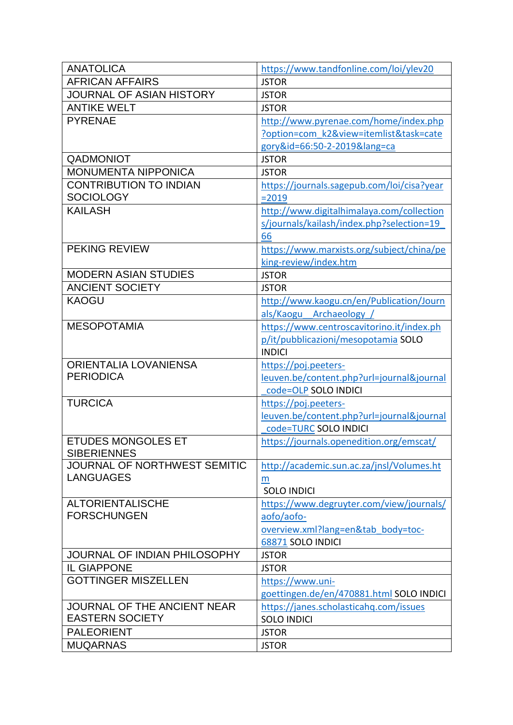| <b>ANATOLICA</b>                     | https://www.tandfonline.com/loi/ylev20     |
|--------------------------------------|--------------------------------------------|
| <b>AFRICAN AFFAIRS</b>               | <b>JSTOR</b>                               |
| <b>JOURNAL OF ASIAN HISTORY</b>      | <b>JSTOR</b>                               |
| <b>ANTIKE WELT</b>                   | <b>JSTOR</b>                               |
| <b>PYRENAE</b>                       | http://www.pyrenae.com/home/index.php      |
|                                      | ?option=com k2&view=itemlist&task=cate     |
|                                      | gory&id=66:50-2-2019⟨=ca                   |
| QADMONIOT                            | <b>JSTOR</b>                               |
| <b>MONUMENTA NIPPONICA</b>           | <b>JSTOR</b>                               |
| <b>CONTRIBUTION TO INDIAN</b>        | https://journals.sagepub.com/loi/cisa?year |
| <b>SOCIOLOGY</b>                     | $= 2019$                                   |
| <b>KAILASH</b>                       | http://www.digitalhimalaya.com/collection  |
|                                      | s/journals/kailash/index.php?selection=19  |
|                                      | 66                                         |
| <b>PEKING REVIEW</b>                 | https://www.marxists.org/subject/china/pe  |
|                                      | king-review/index.htm                      |
| <b>MODERN ASIAN STUDIES</b>          | <b>JSTOR</b>                               |
| <b>ANCIENT SOCIETY</b>               | <b>JSTOR</b>                               |
| <b>KAOGU</b>                         | http://www.kaogu.cn/en/Publication/Journ   |
|                                      | als/Kaogu Archaeology /                    |
| <b>MESOPOTAMIA</b>                   | https://www.centroscavitorino.it/index.ph  |
|                                      | p/it/pubblicazioni/mesopotamia SOLO        |
|                                      | <b>INDICI</b>                              |
| <b>ORIENTALIA LOVANIENSA</b>         | https://poj.peeters-                       |
| <b>PERIODICA</b>                     | leuven.be/content.php?url=journal&journal  |
|                                      |                                            |
|                                      | code=OLP SOLO INDICI                       |
| <b>TURCICA</b>                       | https://poj.peeters-                       |
|                                      | leuven.be/content.php?url=journal&journal  |
|                                      | code=TURC SOLO INDICI                      |
| <b>ETUDES MONGOLES ET</b>            | https://journals.openedition.org/emscat/   |
| <b>SIBERIENNES</b>                   |                                            |
| JOURNAL OF NORTHWEST SEMITIC         | http://academic.sun.ac.za/jnsl/Volumes.ht  |
| <b>LANGUAGES</b>                     | $\underline{m}$                            |
|                                      | <b>SOLO INDICI</b>                         |
| <b>ALTORIENTALISCHE</b>              | https://www.degruyter.com/view/journals/   |
| <b>FORSCHUNGEN</b>                   | aofo/aofo-                                 |
|                                      | overview.xml?lang=en&tab body=toc-         |
|                                      | 68871 SOLO INDICI                          |
| JOURNAL OF INDIAN PHILOSOPHY         | <b>JSTOR</b>                               |
| <b>IL GIAPPONE</b>                   | <b>JSTOR</b>                               |
| <b>GOTTINGER MISZELLEN</b>           | https://www.uni-                           |
|                                      | goettingen.de/en/470881.html SOLO INDICI   |
| JOURNAL OF THE ANCIENT NEAR          | https://janes.scholasticahq.com/issues     |
| <b>EASTERN SOCIETY</b>               | <b>SOLO INDICI</b>                         |
| <b>PALEORIENT</b><br><b>MUQARNAS</b> | <b>JSTOR</b><br><b>JSTOR</b>               |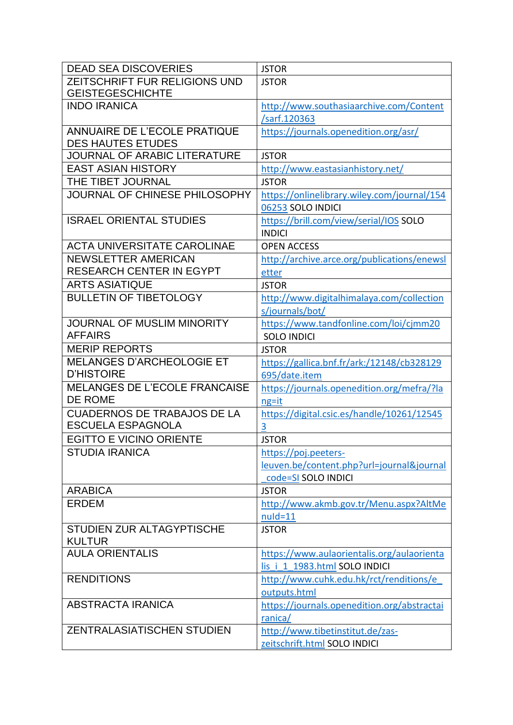| <b>DEAD SEA DISCOVERIES</b>                              | <b>JSTOR</b>                                |
|----------------------------------------------------------|---------------------------------------------|
| ZEITSCHRIFT FUR RELIGIONS UND                            | <b>JSTOR</b>                                |
| <b>GEISTEGESCHICHTE</b>                                  |                                             |
| <b>INDO IRANICA</b>                                      | http://www.southasiaarchive.com/Content     |
|                                                          | /sarf.120363                                |
| ANNUAIRE DE L'ECOLE PRATIQUE<br><b>DES HAUTES ETUDES</b> | https://journals.openedition.org/asr/       |
| JOURNAL OF ARABIC LITERATURE                             | <b>JSTOR</b>                                |
| <b>EAST ASIAN HISTORY</b>                                | http://www.eastasianhistory.net/            |
| THE TIBET JOURNAL                                        | <b>JSTOR</b>                                |
| JOURNAL OF CHINESE PHILOSOPHY                            | https://onlinelibrary.wiley.com/journal/154 |
|                                                          | 06253 SOLO INDICI                           |
| <b>ISRAEL ORIENTAL STUDIES</b>                           | https://brill.com/view/serial/IOS SOLO      |
|                                                          | <b>INDICI</b>                               |
| <b>ACTA UNIVERSITATE CAROLINAE</b>                       | <b>OPEN ACCESS</b>                          |
| <b>NEWSLETTER AMERICAN</b>                               | http://archive.arce.org/publications/enewsl |
| <b>RESEARCH CENTER IN EGYPT</b>                          | etter                                       |
| <b>ARTS ASIATIQUE</b>                                    | <b>JSTOR</b>                                |
| <b>BULLETIN OF TIBETOLOGY</b>                            | http://www.digitalhimalaya.com/collection   |
|                                                          | s/journals/bot/                             |
| JOURNAL OF MUSLIM MINORITY                               | https://www.tandfonline.com/loi/cjmm20      |
| <b>AFFAIRS</b>                                           | <b>SOLO INDICI</b>                          |
| <b>MERIP REPORTS</b>                                     | <b>JSTOR</b>                                |
| <b>MELANGES D'ARCHEOLOGIE ET</b>                         | https://gallica.bnf.fr/ark:/12148/cb328129  |
| <b>D'HISTOIRE</b>                                        | 695/date.item                               |
| <b>MELANGES DE L'ECOLE FRANCAISE</b>                     | https://journals.openedition.org/mefra/?la  |
| DE ROME                                                  | $ng=it$                                     |
| <b>CUADERNOS DE TRABAJOS DE LA</b>                       | https://digital.csic.es/handle/10261/12545  |
| <b>ESCUELA ESPAGNOLA</b>                                 | 3                                           |
| <b>EGITTO E VICINO ORIENTE</b>                           | <b>JSTOR</b>                                |
| <b>STUDIA IRANICA</b>                                    | https://poj.peeters-                        |
|                                                          | leuven.be/content.php?url=journal&journal   |
|                                                          | code=SI SOLO INDICI                         |
| <b>ARABICA</b>                                           | <b>JSTOR</b>                                |
| <b>ERDEM</b>                                             | http://www.akmb.gov.tr/Menu.aspx?AltMe      |
|                                                          | $nuld = 11$                                 |
| STUDIEN ZUR ALTAGYPTISCHE                                | <b>JSTOR</b>                                |
| <b>KULTUR</b>                                            |                                             |
| <b>AULA ORIENTALIS</b>                                   | https://www.aulaorientalis.org/aulaorienta  |
|                                                          | lis i 1 1983.html SOLO INDICI               |
| <b>RENDITIONS</b>                                        | http://www.cuhk.edu.hk/rct/renditions/e     |
|                                                          | outputs.html                                |
| <b>ABSTRACTA IRANICA</b>                                 | https://journals.openedition.org/abstractai |
| <b>ZENTRALASIATISCHEN STUDIEN</b>                        | ranica/                                     |
|                                                          | http://www.tibetinstitut.de/zas-            |
|                                                          | zeitschrift.html SOLO INDICI                |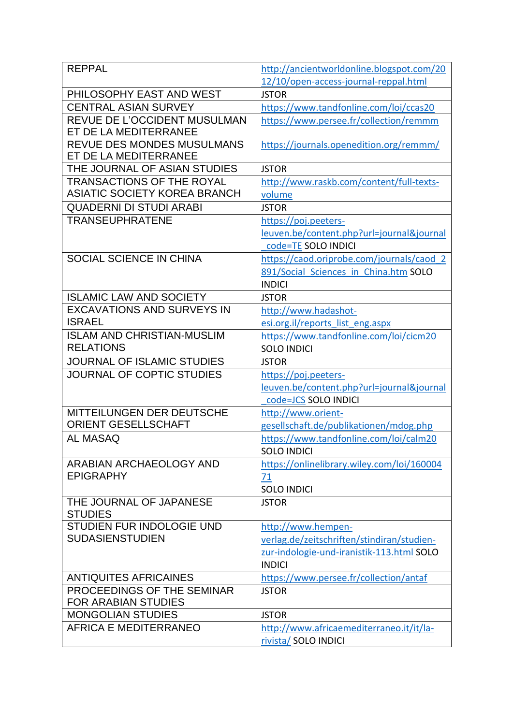| <b>REPPAL</b>                                              | http://ancientworldonline.blogspot.com/20              |
|------------------------------------------------------------|--------------------------------------------------------|
|                                                            | 12/10/open-access-journal-reppal.html                  |
| PHILOSOPHY EAST AND WEST                                   | <b>JSTOR</b>                                           |
| <b>CENTRAL ASIAN SURVEY</b>                                | https://www.tandfonline.com/loi/ccas20                 |
| REVUE DE L'OCCIDENT MUSULMAN                               | https://www.persee.fr/collection/remmm                 |
| ET DE LA MEDITERRANEE                                      |                                                        |
| <b>REVUE DES MONDES MUSULMANS</b><br>ET DE LA MEDITERRANEE | https://journals.openedition.org/remmm/                |
| THE JOURNAL OF ASIAN STUDIES                               | <b>JSTOR</b>                                           |
| <b>TRANSACTIONS OF THE ROYAL</b>                           | http://www.raskb.com/content/full-texts-               |
| <b>ASIATIC SOCIETY KOREA BRANCH</b>                        | volume                                                 |
| <b>QUADERNI DI STUDI ARABI</b>                             | <b>JSTOR</b>                                           |
| <b>TRANSEUPHRATENE</b>                                     | https://poj.peeters-                                   |
|                                                            | leuven.be/content.php?url=journal&journal              |
|                                                            | code=TE SOLO INDICI                                    |
| SOCIAL SCIENCE IN CHINA                                    | https://caod.oriprobe.com/journals/caod 2              |
|                                                            | 891/Social Sciences in China.htm SOLO                  |
|                                                            | <b>INDICI</b>                                          |
| <b>ISLAMIC LAW AND SOCIETY</b>                             | <b>JSTOR</b>                                           |
| <b>EXCAVATIONS AND SURVEYS IN</b>                          | http://www.hadashot-                                   |
| <b>ISRAEL</b>                                              | esi.org.il/reports list eng.aspx                       |
| <b>ISLAM AND CHRISTIAN-MUSLIM</b>                          | https://www.tandfonline.com/loi/cicm20                 |
| <b>RELATIONS</b>                                           | <b>SOLO INDICI</b>                                     |
|                                                            |                                                        |
| <b>JOURNAL OF ISLAMIC STUDIES</b>                          | <b>JSTOR</b>                                           |
| JOURNAL OF COPTIC STUDIES                                  | https://poj.peeters-                                   |
|                                                            | leuven.be/content.php?url=journal&journal              |
|                                                            | code=JCS SOLO INDICI                                   |
| MITTEILUNGEN DER DEUTSCHE                                  | http://www.orient-                                     |
| <b>ORIENT GESELLSCHAFT</b>                                 | gesellschaft.de/publikationen/mdog.php                 |
| <b>AL MASAQ</b>                                            | https://www.tandfonline.com/loi/calm20                 |
|                                                            | <b>SOLO INDICI</b>                                     |
| ARABIAN ARCHAEOLOGY AND                                    | https://onlinelibrary.wiley.com/loi/160004             |
| <b>EPIGRAPHY</b>                                           | 71                                                     |
|                                                            | <b>SOLO INDICI</b>                                     |
| THE JOURNAL OF JAPANESE                                    | <b>JSTOR</b>                                           |
| <b>STUDIES</b>                                             |                                                        |
| <b>STUDIEN FUR INDOLOGIE UND</b>                           | http://www.hempen-                                     |
| <b>SUDASIENSTUDIEN</b>                                     | verlag.de/zeitschriften/stindiran/studien-             |
|                                                            | zur-indologie-und-iranistik-113.html SOLO              |
|                                                            | <b>INDICI</b>                                          |
| <b>ANTIQUITES AFRICAINES</b><br>PROCEEDINGS OF THE SEMINAR | https://www.persee.fr/collection/antaf<br><b>JSTOR</b> |
| <b>FOR ARABIAN STUDIES</b>                                 |                                                        |
| <b>MONGOLIAN STUDIES</b>                                   | <b>JSTOR</b>                                           |
| <b>AFRICA E MEDITERRANEO</b>                               | http://www.africaemediterraneo.it/it/la-               |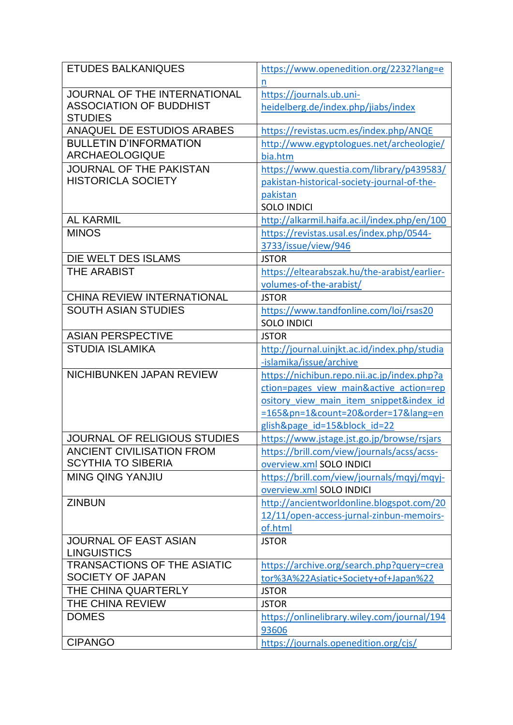| <b>ETUDES BALKANIQUES</b>           | https://www.openedition.org/2232?lang=e      |
|-------------------------------------|----------------------------------------------|
|                                     | <u>n</u>                                     |
| JOURNAL OF THE INTERNATIONAL        | https://journals.ub.uni-                     |
| <b>ASSOCIATION OF BUDDHIST</b>      | heidelberg.de/index.php/jiabs/index          |
| <b>STUDIES</b>                      |                                              |
| <b>ANAQUEL DE ESTUDIOS ARABES</b>   | https://revistas.ucm.es/index.php/ANQE       |
| <b>BULLETIN D'INFORMATION</b>       | http://www.egyptologues.net/archeologie/     |
| <b>ARCHAEOLOGIQUE</b>               | bia.htm                                      |
| <b>JOURNAL OF THE PAKISTAN</b>      | https://www.questia.com/library/p439583/     |
| <b>HISTORICLA SOCIETY</b>           | pakistan-historical-society-journal-of-the-  |
|                                     | pakistan                                     |
|                                     | <b>SOLO INDICI</b>                           |
| <b>AL KARMIL</b>                    | http://alkarmil.haifa.ac.il/index.php/en/100 |
| <b>MINOS</b>                        | https://revistas.usal.es/index.php/0544-     |
|                                     | 3733/issue/view/946                          |
| DIE WELT DES ISLAMS                 | <b>JSTOR</b>                                 |
| <b>THE ARABIST</b>                  | https://eltearabszak.hu/the-arabist/earlier- |
|                                     | volumes-of-the-arabist/                      |
| <b>CHINA REVIEW INTERNATIONAL</b>   | <b>JSTOR</b>                                 |
| <b>SOUTH ASIAN STUDIES</b>          | https://www.tandfonline.com/loi/rsas20       |
|                                     | <b>SOLO INDICI</b>                           |
| <b>ASIAN PERSPECTIVE</b>            |                                              |
|                                     | <b>JSTOR</b>                                 |
| <b>STUDIA ISLAMIKA</b>              | http://journal.uinjkt.ac.id/index.php/studia |
|                                     | -islamika/issue/archive                      |
| <b>NICHIBUNKEN JAPAN REVIEW</b>     | https://nichibun.repo.nii.ac.jp/index.php?a  |
|                                     | ction=pages view main&active action=rep      |
|                                     | ository view main item snippet&index id      |
|                                     | =165&pn=1&count=20ℴ=17⟨=en                   |
|                                     | glish&page id=15█ id=22                      |
| <b>JOURNAL OF RELIGIOUS STUDIES</b> | https://www.jstage.jst.go.jp/browse/rsjars   |
| <b>ANCIENT CIVILISATION FROM</b>    | https://brill.com/view/journals/acss/acss-   |
| <b>SCYTHIA TO SIBERIA</b>           | overview.xml SOLO INDICI                     |
| <b>MING QING YANJIU</b>             | https://brill.com/view/journals/mqyj/mqyj-   |
|                                     | overview.xml SOLO INDICI                     |
| <b>ZINBUN</b>                       | http://ancientworldonline.blogspot.com/20    |
|                                     | 12/11/open-access-jurnal-zinbun-memoirs-     |
|                                     | of.html                                      |
| <b>JOURNAL OF EAST ASIAN</b>        | <b>JSTOR</b>                                 |
| <b>LINGUISTICS</b>                  |                                              |
| <b>TRANSACTIONS OF THE ASIATIC</b>  | https://archive.org/search.php?query=crea    |
| SOCIETY OF JAPAN                    | tor%3A%22Asiatic+Society+of+Japan%22         |
| THE CHINA QUARTERLY                 | <b>JSTOR</b>                                 |
| THE CHINA REVIEW                    | <b>JSTOR</b>                                 |
| <b>DOMES</b>                        | https://onlinelibrary.wiley.com/journal/194  |
|                                     | 93606                                        |
| <b>CIPANGO</b>                      | https://journals.openedition.org/cjs/        |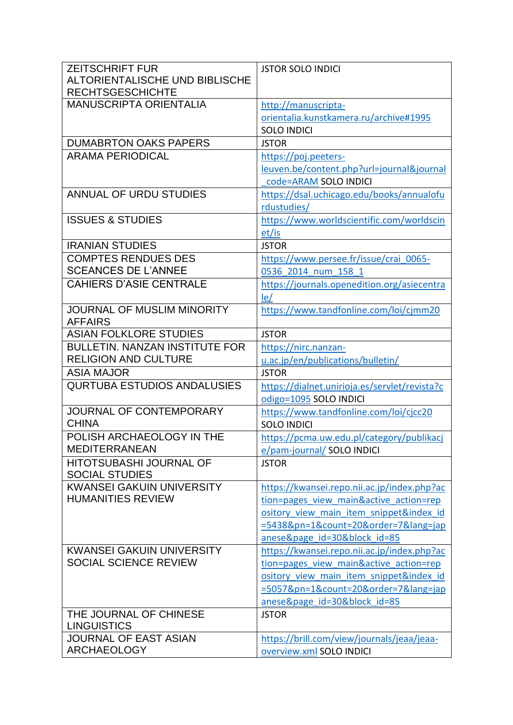| <b>ZEITSCHRIFT FUR</b>                | <b>JSTOR SOLO INDICI</b>                      |
|---------------------------------------|-----------------------------------------------|
| ALTORIENTALISCHE UND BIBLISCHE        |                                               |
| <b>RECHTSGESCHICHTE</b>               |                                               |
| <b>MANUSCRIPTA ORIENTALIA</b>         | http://manuscripta-                           |
|                                       | orientalia.kunstkamera.ru/archive#1995        |
|                                       | <b>SOLO INDICI</b>                            |
| <b>DUMABRTON OAKS PAPERS</b>          | <b>JSTOR</b>                                  |
| <b>ARAMA PERIODICAL</b>               | https://poj.peeters-                          |
|                                       | leuven.be/content.php?url=journal&journal     |
|                                       | code=ARAM SOLO INDICI                         |
| <b>ANNUAL OF URDU STUDIES</b>         | https://dsal.uchicago.edu/books/annualofu     |
|                                       | rdustudies/                                   |
| <b>ISSUES &amp; STUDIES</b>           | https://www.worldscientific.com/worldscin     |
|                                       | et/is                                         |
| <b>IRANIAN STUDIES</b>                | <b>JSTOR</b>                                  |
| <b>COMPTES RENDUES DES</b>            | https://www.persee.fr/issue/crai 0065-        |
| <b>SCEANCES DE L'ANNEE</b>            | 0536 2014 num 158 1                           |
| <b>CAHIERS D'ASIE CENTRALE</b>        | https://journals.openedition.org/asiecentra   |
|                                       | le/                                           |
| JOURNAL OF MUSLIM MINORITY            | https://www.tandfonline.com/loi/cjmm20        |
| <b>AFFAIRS</b>                        |                                               |
| <b>ASIAN FOLKLORE STUDIES</b>         | <b>JSTOR</b>                                  |
| <b>BULLETIN, NANZAN INSTITUTE FOR</b> | https://nirc.nanzan-                          |
| <b>RELIGION AND CULTURE</b>           | u.ac.jp/en/publications/bulletin/             |
| <b>ASIA MAJOR</b>                     | <b>JSTOR</b>                                  |
| <b>QURTUBA ESTUDIOS ANDALUSIES</b>    | https://dialnet.unirioja.es/servlet/revista?c |
|                                       | odigo=1095 SOLO INDICI                        |
| JOURNAL OF CONTEMPORARY               | https://www.tandfonline.com/loi/cjcc20        |
| <b>CHINA</b>                          | <b>SOLO INDICI</b>                            |
| POLISH ARCHAEOLOGY IN THE             | https://pcma.uw.edu.pl/category/publikacj     |
| <b>MEDITERRANEAN</b>                  | e/pam-journal/ SOLO INDICI                    |
| <b>HITOTSUBASHI JOURNAL OF</b>        | <b>JSTOR</b>                                  |
| <b>SOCIAL STUDIES</b>                 |                                               |
| <b>KWANSEI GAKUIN UNIVERSITY</b>      | https://kwansei.repo.nii.ac.jp/index.php?ac   |
| <b>HUMANITIES REVIEW</b>              | tion=pages view main&active action=rep        |
|                                       | ository view main item snippet&index id       |
|                                       | =5438&pn=1&count=20ℴ=7⟨=jap                   |
|                                       | anese&page id=30█ id=85                       |
| <b>KWANSEI GAKUIN UNIVERSITY</b>      | https://kwansei.repo.nii.ac.jp/index.php?ac   |
| <b>SOCIAL SCIENCE REVIEW</b>          | tion=pages view main&active action=rep        |
|                                       | ository view main item snippet&index id       |
|                                       | =5057&pn=1&count=20ℴ=7⟨=jap                   |
|                                       | anese&page id=30█ id=85                       |
| THE JOURNAL OF CHINESE                | <b>JSTOR</b>                                  |
| <b>LINGUISTICS</b>                    |                                               |
| <b>JOURNAL OF EAST ASIAN</b>          | https://brill.com/view/journals/jeaa/jeaa-    |
| <b>ARCHAEOLOGY</b>                    | overview.xml SOLO INDICI                      |
|                                       |                                               |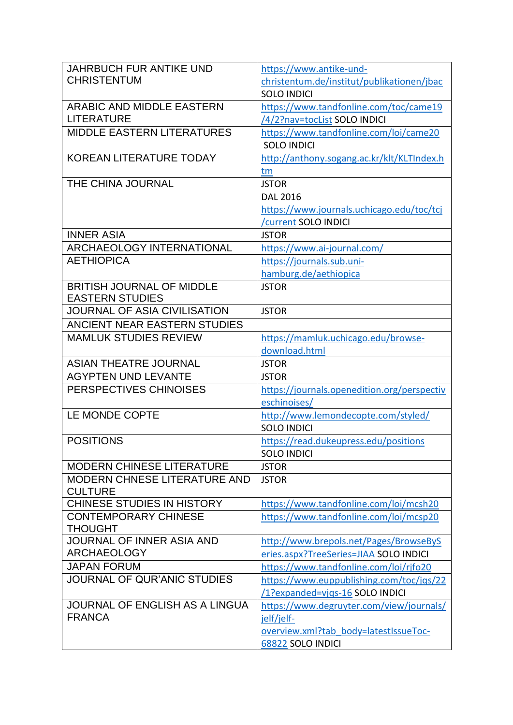| <b>JAHRBUCH FUR ANTIKE UND</b>               | https://www.antike-und-                     |
|----------------------------------------------|---------------------------------------------|
| <b>CHRISTENTUM</b>                           | christentum.de/institut/publikationen/jbac  |
|                                              | <b>SOLO INDICI</b>                          |
| <b>ARABIC AND MIDDLE EASTERN</b>             | https://www.tandfonline.com/toc/came19      |
| LITERATURE                                   | /4/2?nav=tocList SOLO INDICI                |
| <b>MIDDLE EASTERN LITERATURES</b>            | https://www.tandfonline.com/loi/came20      |
|                                              | <b>SOLO INDICI</b>                          |
| <b>KOREAN LITERATURE TODAY</b>               | http://anthony.sogang.ac.kr/klt/KLTIndex.h  |
| THE CHINA JOURNAL                            | tm<br><b>JSTOR</b>                          |
|                                              | <b>DAL 2016</b>                             |
|                                              | https://www.journals.uchicago.edu/toc/tcj   |
|                                              | /current SOLO INDICI                        |
| <b>INNER ASIA</b>                            | <b>JSTOR</b>                                |
| <b>ARCHAEOLOGY INTERNATIONAL</b>             | https://www.ai-journal.com/                 |
| <b>AETHIOPICA</b>                            | https://journals.sub.uni-                   |
|                                              | hamburg.de/aethiopica                       |
| <b>BRITISH JOURNAL OF MIDDLE</b>             | <b>JSTOR</b>                                |
| <b>EASTERN STUDIES</b>                       |                                             |
| JOURNAL OF ASIA CIVILISATION                 | <b>JSTOR</b>                                |
| <b>ANCIENT NEAR EASTERN STUDIES</b>          |                                             |
| <b>MAMLUK STUDIES REVIEW</b>                 | https://mamluk.uchicago.edu/browse-         |
|                                              | download.html                               |
| <b>ASIAN THEATRE JOURNAL</b>                 | <b>JSTOR</b>                                |
| <b>AGYPTEN UND LEVANTE</b>                   | <b>JSTOR</b>                                |
| PERSPECTIVES CHINOISES                       | https://journals.openedition.org/perspectiv |
|                                              | eschinoises/                                |
| LE MONDE COPTE                               | http://www.lemondecopte.com/styled/         |
|                                              | <b>SOLO INDICI</b>                          |
| <b>POSITIONS</b>                             | https://read.dukeupress.edu/positions       |
|                                              | <b>SOLO INDICI</b>                          |
| <b>MODERN CHINESE LITERATURE</b>             | <b>JSTOR</b>                                |
| <b>MODERN CHNESE LITERATURE AND</b>          | <b>JSTOR</b>                                |
| <b>CULTURE</b><br>CHINESE STUDIES IN HISTORY | https://www.tandfonline.com/loi/mcsh20      |
| <b>CONTEMPORARY CHINESE</b>                  | https://www.tandfonline.com/loi/mcsp20      |
| <b>THOUGHT</b>                               |                                             |
| JOURNAL OF INNER ASIA AND                    | http://www.brepols.net/Pages/BrowseByS      |
| <b>ARCHAEOLOGY</b>                           | eries.aspx?TreeSeries=JIAA SOLO INDICI      |
| <b>JAPAN FORUM</b>                           | https://www.tandfonline.com/loi/rjfo20      |
| <b>JOURNAL OF QUR'ANIC STUDIES</b>           | https://www.euppublishing.com/toc/jqs/22    |
|                                              | /1?expanded=vjqs-16 SOLO INDICI             |
| <b>JOURNAL OF ENGLISH AS A LINGUA</b>        | https://www.degruyter.com/view/journals/    |
| <b>FRANCA</b>                                | jelf/jelf-                                  |
|                                              | overview.xml?tab body=latestIssueToc-       |
|                                              | 68822 SOLO INDICI                           |